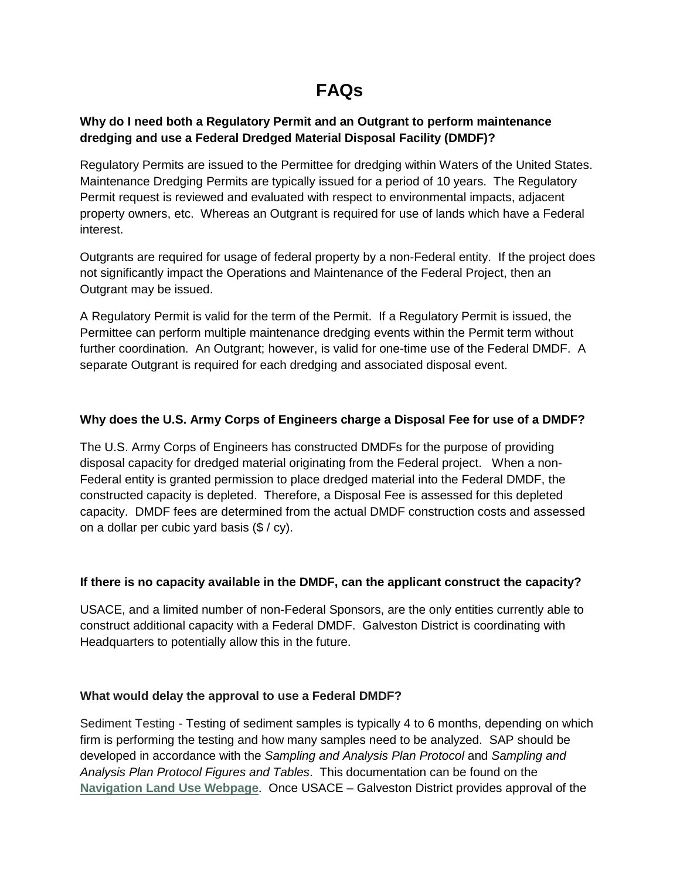# **FAQs**

## **Why do I need both a Regulatory Permit and an Outgrant to perform maintenance dredging and use a Federal Dredged Material Disposal Facility (DMDF)?**

Regulatory Permits are issued to the Permittee for dredging within Waters of the United States. Maintenance Dredging Permits are typically issued for a period of 10 years. The Regulatory Permit request is reviewed and evaluated with respect to environmental impacts, adjacent property owners, etc. Whereas an Outgrant is required for use of lands which have a Federal interest.

Outgrants are required for usage of federal property by a non-Federal entity. If the project does not significantly impact the Operations and Maintenance of the Federal Project, then an Outgrant may be issued.

A Regulatory Permit is valid for the term of the Permit. If a Regulatory Permit is issued, the Permittee can perform multiple maintenance dredging events within the Permit term without further coordination. An Outgrant; however, is valid for one-time use of the Federal DMDF. A separate Outgrant is required for each dredging and associated disposal event.

## **Why does the U.S. Army Corps of Engineers charge a Disposal Fee for use of a DMDF?**

The U.S. Army Corps of Engineers has constructed DMDFs for the purpose of providing disposal capacity for dredged material originating from the Federal project. When a non-Federal entity is granted permission to place dredged material into the Federal DMDF, the constructed capacity is depleted. Therefore, a Disposal Fee is assessed for this depleted capacity. DMDF fees are determined from the actual DMDF construction costs and assessed on a dollar per cubic yard basis (\$ / cy).

#### **If there is no capacity available in the DMDF, can the applicant construct the capacity?**

USACE, and a limited number of non-Federal Sponsors, are the only entities currently able to construct additional capacity with a Federal DMDF. Galveston District is coordinating with Headquarters to potentially allow this in the future.

#### **What would delay the approval to use a Federal DMDF?**

Sediment Testing - Testing of sediment samples is typically 4 to 6 months, depending on which firm is performing the testing and how many samples need to be analyzed. SAP should be developed in accordance with the *Sampling and Analysis Plan Protocol* and *Sampling and Analysis Plan Protocol Figures and Tables*. This documentation can be found on the **[Navigation Land Use](http://www.swg.usace.army.mil/Missions/Navigation/LandUse.aspx) Webpage**. Once USACE – Galveston District provides approval of the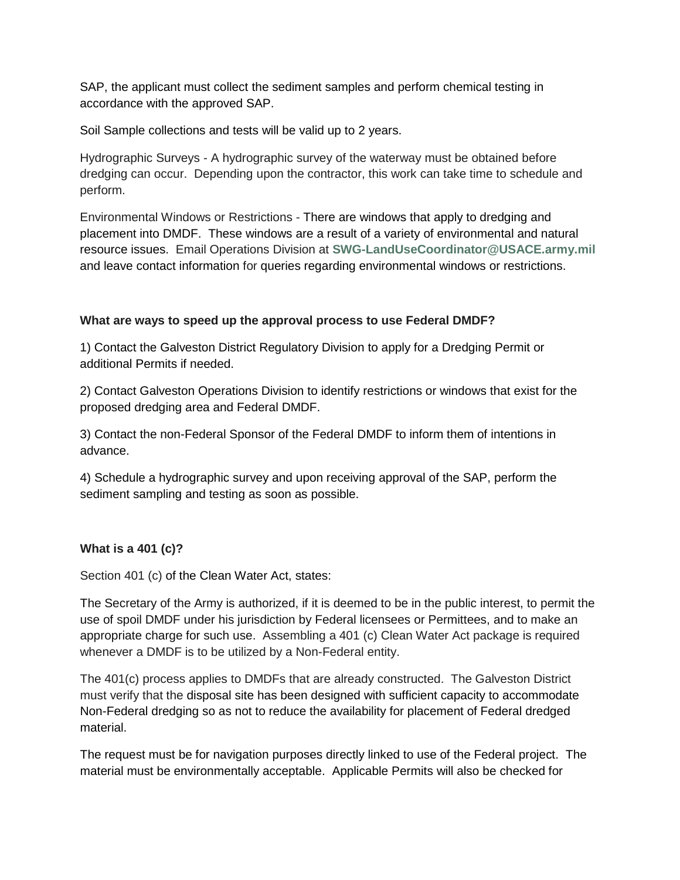SAP, the applicant must collect the sediment samples and perform chemical testing in accordance with the approved SAP.

Soil Sample collections and tests will be valid up to 2 years.

Hydrographic Surveys - A hydrographic survey of the waterway must be obtained before dredging can occur. Depending upon the contractor, this work can take time to schedule and perform.

Environmental Windows or Restrictions - There are windows that apply to dredging and placement into DMDF. These windows are a result of a variety of environmental and natural resource issues. Email Operations Division at **[SWG-LandUseCoordinator@USACE.army.mil](mailto:SWG-LandUseCoordinator@USACE.army.mil)** and leave contact information for queries regarding environmental windows or restrictions.

## **What are ways to speed up the approval process to use Federal DMDF?**

1) Contact the Galveston District Regulatory Division to apply for a Dredging Permit or additional Permits if needed.

2) Contact Galveston Operations Division to identify restrictions or windows that exist for the proposed dredging area and Federal DMDF.

3) Contact the non-Federal Sponsor of the Federal DMDF to inform them of intentions in advance.

4) Schedule a hydrographic survey and upon receiving approval of the SAP, perform the sediment sampling and testing as soon as possible.

#### **What is a 401 (c)?**

Section 401 (c) of the Clean Water Act, states:

The Secretary of the Army is authorized, if it is deemed to be in the public interest, to permit the use of spoil DMDF under his jurisdiction by Federal licensees or Permittees, and to make an appropriate charge for such use. Assembling a 401 (c) Clean Water Act package is required whenever a DMDF is to be utilized by a Non-Federal entity.

The 401(c) process applies to DMDFs that are already constructed. The Galveston District must verify that the disposal site has been designed with sufficient capacity to accommodate Non-Federal dredging so as not to reduce the availability for placement of Federal dredged material.

The request must be for navigation purposes directly linked to use of the Federal project. The material must be environmentally acceptable. Applicable Permits will also be checked for